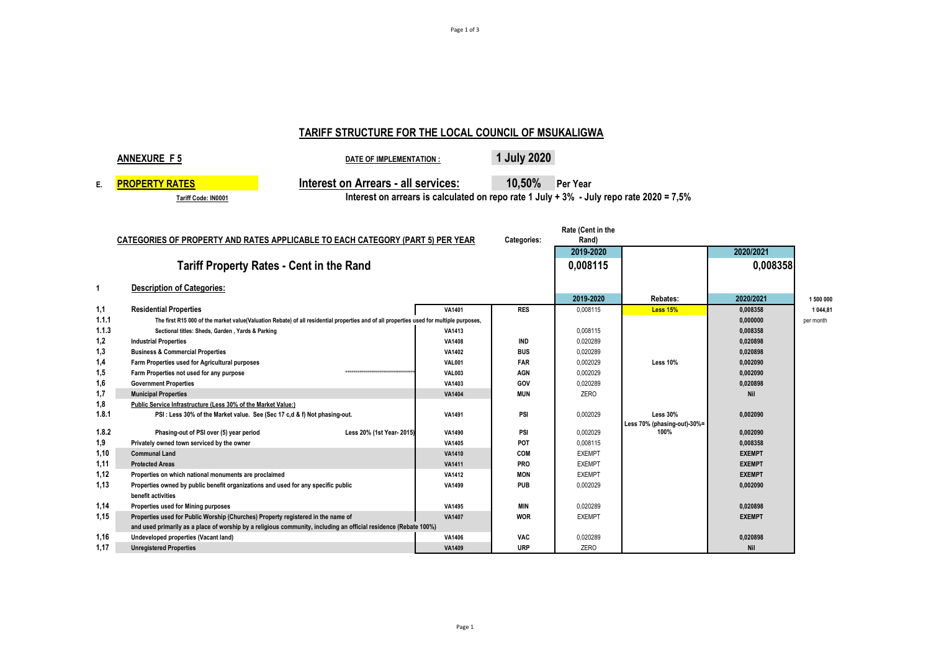# **TARIFF STRUCTURE FOR THE LOCAL COUNCIL OF MSUKALIGWA**

|                                                                                                                             | <b>ANNEXURE F5</b><br><b>DATE OF IMPLEMENTATION:</b>                                                                                    |                                                                                         | 1 July 2020     |               |                                     |               |           |  |
|-----------------------------------------------------------------------------------------------------------------------------|-----------------------------------------------------------------------------------------------------------------------------------------|-----------------------------------------------------------------------------------------|-----------------|---------------|-------------------------------------|---------------|-----------|--|
| E.                                                                                                                          | <b>Interest on Arrears - all services:</b><br><b>PROPERTY RATES</b>                                                                     |                                                                                         | 10,50% Per Year |               |                                     |               |           |  |
|                                                                                                                             | Tariff Code: IN0001                                                                                                                     | Interest on arrears is calculated on repo rate 1 July + 3% - July repo rate 2020 = 7,5% |                 |               |                                     |               |           |  |
|                                                                                                                             |                                                                                                                                         |                                                                                         |                 |               |                                     |               |           |  |
| Rate (Cent in the<br>CATEGORIES OF PROPERTY AND RATES APPLICABLE TO EACH CATEGORY (PART 5) PER YEAR<br>Categories:<br>Rand) |                                                                                                                                         |                                                                                         |                 |               |                                     |               |           |  |
|                                                                                                                             |                                                                                                                                         |                                                                                         |                 | 2019-2020     |                                     | 2020/2021     |           |  |
|                                                                                                                             | <b>Tariff Property Rates - Cent in the Rand</b>                                                                                         |                                                                                         |                 | 0.008115      |                                     | 0,008358      |           |  |
| -1                                                                                                                          | <b>Description of Categories:</b>                                                                                                       |                                                                                         |                 |               |                                     |               |           |  |
|                                                                                                                             |                                                                                                                                         |                                                                                         |                 | 2019-2020     | Rebates:                            | 2020/2021     | 1 500 000 |  |
| 1,1                                                                                                                         | <b>Residential Properties</b>                                                                                                           | VA1401                                                                                  | <b>RES</b>      | 0.008115      | <b>Less 15%</b>                     | 0.008358      | 1 044.81  |  |
| 1.1.1                                                                                                                       | The first R15 000 of the market value(Valuation Rebate) of all residential properties and of all properties used for multiple purposes, |                                                                                         |                 |               |                                     | 0,000000      | per month |  |
| 1.1.3                                                                                                                       | Sectional titles: Sheds, Garden, Yards & Parking                                                                                        | VA1413                                                                                  |                 | 0,008115      |                                     | 0,008358      |           |  |
| 1,2                                                                                                                         | <b>Industrial Properties</b>                                                                                                            | <b>VA1408</b>                                                                           | <b>IND</b>      | 0,020289      |                                     | 0,020898      |           |  |
| 1,3                                                                                                                         | <b>Business &amp; Commercial Properties</b>                                                                                             | VA1402                                                                                  | <b>BUS</b>      | 0.020289      |                                     | 0,020898      |           |  |
| 1,4                                                                                                                         | Farm Properties used for Agricultural purposes                                                                                          | <b>VAL001</b>                                                                           | <b>FAR</b>      | 0.002029      | <b>Less 10%</b>                     | 0,002090      |           |  |
| 1,5                                                                                                                         | Farm Properties not used for any purpose<br>**********************************                                                          | <b>VAL003</b>                                                                           | <b>AGN</b>      | 0.002029      |                                     | 0.002090      |           |  |
| 1,6                                                                                                                         | <b>Government Properties</b>                                                                                                            | VA1403                                                                                  | GOV             | 0,020289      |                                     | 0,020898      |           |  |
| 1,7                                                                                                                         | <b>Municipal Properties</b>                                                                                                             | <b>VA1404</b>                                                                           | <b>MUN</b>      | ZERO          |                                     | <b>Nil</b>    |           |  |
| 1,8                                                                                                                         | Public Service Infrastructure (Less 30% of the Market Value:)                                                                           |                                                                                         |                 |               |                                     |               |           |  |
| 1.8.1                                                                                                                       | PSI: Less 30% of the Market value. See (Sec 17 c,d & f) Not phasing-out.                                                                | <b>VA1491</b>                                                                           | PSI             | 0.002029      | <b>Less 30%</b>                     | 0,002090      |           |  |
| 1.8.2                                                                                                                       | Phasing-out of PSI over (5) year period<br>Less 20% (1st Year- 2015)                                                                    | VA1490                                                                                  | PSI             | 0,002029      | Less 70% (phasing-out)-30%=<br>100% | 0,002090      |           |  |
| 1,9                                                                                                                         | Privately owned town serviced by the owner                                                                                              | VA1405                                                                                  | POT             | 0,008115      |                                     | 0,008358      |           |  |
| 1.10                                                                                                                        | <b>Communal Land</b>                                                                                                                    | <b>VA1410</b>                                                                           | COM             | <b>EXEMPT</b> |                                     | <b>EXEMPT</b> |           |  |
| 1,11                                                                                                                        | <b>Protected Areas</b>                                                                                                                  | <b>VA1411</b>                                                                           | <b>PRO</b>      | <b>EXEMPT</b> |                                     | <b>EXEMPT</b> |           |  |
| 1,12                                                                                                                        | Properties on which national monuments are proclaimed                                                                                   | <b>VA1412</b>                                                                           | <b>MON</b>      | <b>EXEMPT</b> |                                     | <b>EXEMPT</b> |           |  |
| 1,13                                                                                                                        | Properties owned by public benefit organizations and used for any specific public                                                       | VA1499                                                                                  | <b>PUB</b>      | 0,002029      |                                     | 0,002090      |           |  |
|                                                                                                                             | benefit activities                                                                                                                      |                                                                                         |                 |               |                                     |               |           |  |
| 1,14                                                                                                                        | Properties used for Mining purposes                                                                                                     | VA1495                                                                                  | <b>MIN</b>      | 0,020289      |                                     | 0,020898      |           |  |
| 1,15                                                                                                                        | Properties used for Public Worship (Churches) Property registered in the name of                                                        | <b>VA1407</b>                                                                           | <b>WOR</b>      | <b>EXEMPT</b> |                                     | <b>EXEMPT</b> |           |  |
|                                                                                                                             | and used primarily as a place of worship by a religious community, including an official residence (Rebate 100%)                        |                                                                                         |                 |               |                                     |               |           |  |
| 1,16                                                                                                                        | Undeveloped properties (Vacant land)                                                                                                    | VA1406                                                                                  | <b>VAC</b>      | 0,020289      |                                     | 0,020898      |           |  |
| 1,17                                                                                                                        | <b>Unregistered Properties</b>                                                                                                          | <b>VA1409</b>                                                                           | <b>URP</b>      | ZERO          |                                     | <b>Nil</b>    |           |  |
|                                                                                                                             |                                                                                                                                         |                                                                                         |                 |               |                                     |               |           |  |

Page 1 of 3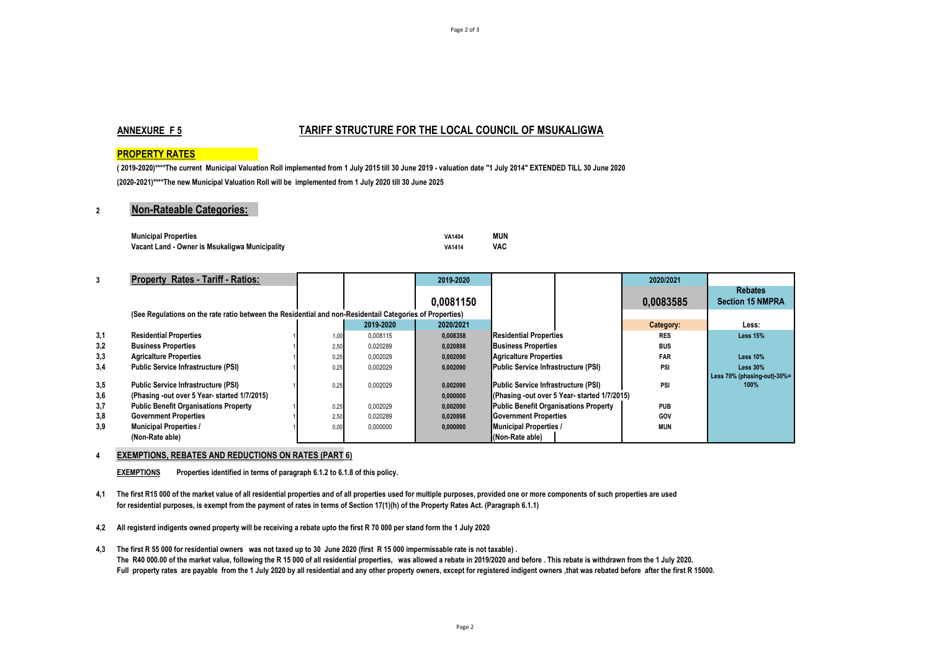# **ANNEXURE F 5 TARIFF STRUCTURE FOR THE LOCAL COUNCIL OF MSUKALIGWA**

# **PROPERTY RATES**

**( 2019-2020)\*\*\*\*The current Municipal Valuation Roll implemented from 1 July 2015 till 30 June 2019 - valuation date "1 July 2014" EXTENDED TILL 30 June 2020 (2020-2021)\*\*\*\*The new Municipal Valuation Roll will be implemented from 1 July 2020 till 30 June 2025**

# **2 Non-Rateable Categories:**

| <b>Municipal Properties</b>                    | VA1404        | MUN |
|------------------------------------------------|---------------|-----|
| Vacant Land - Owner is Msukaligwa Municipality | <b>VA1414</b> | VAC |

| 3          | <b>Property Rates - Tariff - Ratios:</b>                                                                 |      |           | 2019-2020            |                                                                                     | 2020/2021  |                                           |
|------------|----------------------------------------------------------------------------------------------------------|------|-----------|----------------------|-------------------------------------------------------------------------------------|------------|-------------------------------------------|
|            |                                                                                                          |      |           | 0,0081150            |                                                                                     | 0,0083585  | <b>Rebates</b><br><b>Section 15 NMPRA</b> |
|            | (See Regulations on the rate ratio between the Residential and non-Residentail Categories of Properties) |      |           |                      |                                                                                     |            |                                           |
|            |                                                                                                          |      | 2019-2020 | 2020/2021            |                                                                                     | Category:  | Less:                                     |
| 3,1        | <b>Residential Properties</b>                                                                            | 1,00 | 0.008115  | 0,008358             | <b>Residential Properties</b>                                                       | <b>RES</b> | <b>Less 15%</b>                           |
| 3,2        | <b>Business Properties</b>                                                                               | 2,50 | 0,020289  | 0,020898             | <b>Business Properties</b>                                                          | <b>BUS</b> |                                           |
| 3,3        | <b>Agricalture Properties</b>                                                                            | 0,25 | 0.002029  | 0,002090             | Agricalture Properties                                                              | <b>FAR</b> | <b>Less 10%</b>                           |
| 3,4        | <b>Public Service Infrastructure (PSI)</b>                                                               | 0,25 | 0.002029  | 0.002090             | Public Service Infrastructure (PSI)                                                 | PSI        | <b>Less 30%</b>                           |
| 3,5<br>3,6 | <b>Public Service Infrastructure (PSI)</b><br>(Phasing -out over 5 Year- started 1/7/2015)               | 0,25 | 0.002029  | 0,002090<br>0,000000 | Public Service Infrastructure (PSI)<br>(Phasing -out over 5 Year- started 1/7/2015) | PSI        | Less 70% (phasing-out)-30%=<br>100%       |
| 3,7        | <b>Public Benefit Organisations Property</b>                                                             | 0,25 | 0,002029  | 0,002090             | Public Benefit Organisations Property                                               | <b>PUB</b> |                                           |
| 3,8        | <b>Government Properties</b>                                                                             | 2,50 | 0.020289  | 0,020898             | Government Properties                                                               | GOV        |                                           |
| 3.9        | <b>Municipal Properties /</b>                                                                            | 0,00 | 0,000000  | 0,000000             | <b>Municipal Properties /</b>                                                       | <b>MUN</b> |                                           |
|            | (Non-Rate able)                                                                                          |      |           |                      | (Non-Rate able)                                                                     |            |                                           |

## **4 EXEMPTIONS, REBATES AND REDUCTIONS ON RATES (PART 6)**

**EXEMPTIONS Properties identified in terms of paragraph 6.1.2 to 6.1.8 of this policy.**

**4,1 The first R15 000 of the market value of all residential properties and of all properties used for multiple purposes, provided one or more components of such properties are used for residential purposes, is exempt from the payment of rates in terms of Section 17(1)(h) of the Property Rates Act. (Paragraph 6.1.1)** 

**4,2 All registerd indigents owned property will be receiving a rebate upto the first R 70 000 per stand form the 1 July 2020**

**4,3 The first R 55 000 for residential owners was not taxed up to 30 June 2020 (first R 15 000 impermissable rate is not taxable) .**  The R40 000.00 of the market value, following the R 15 000 of all residential properties, was allowed a rebate in 2019/2020 and before . This rebate is withdrawn from the 1 July 2020. Full property rates are payable from the 1 July 2020 by all residential and any other property owners, except for registered indigent owners, that was rebated before after the first R 15000.